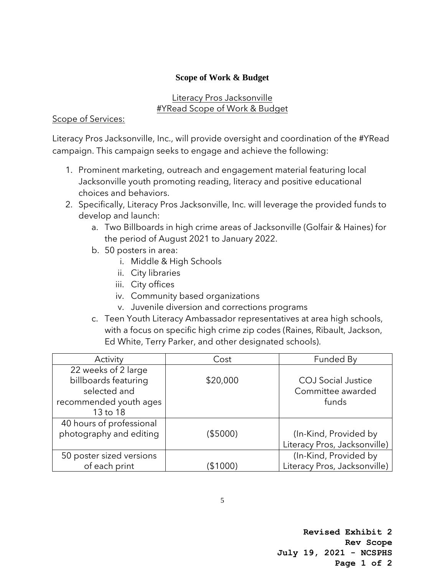## **Scope of Work & Budget**

## Literacy Pros Jacksonville #YRead Scope of Work & Budget

## Scope of Services:

Literacy Pros Jacksonville, Inc., will provide oversight and coordination of the #YRead campaign. This campaign seeks to engage and achieve the following:

- 1. Prominent marketing, outreach and engagement material featuring local Jacksonville youth promoting reading, literacy and positive educational choices and behaviors.
- 2. Specifically, Literacy Pros Jacksonville, Inc. will leverage the provided funds to develop and launch:
	- a. Two Billboards in high crime areas of Jacksonville (Golfair & Haines) for the period of August 2021 to January 2022.
	- b. 50 posters in area:
		- i. Middle & High Schools
		- ii. City libraries
		- iii. City offices
		- iv. Community based organizations
		- v. Juvenile diversion and corrections programs
	- c. Teen Youth Literacy Ambassador representatives at area high schools, with a focus on specific high crime zip codes (Raines, Ribault, Jackson, Ed White, Terry Parker, and other designated schools).

| Activity                 | Cost     | Funded By                    |
|--------------------------|----------|------------------------------|
| 22 weeks of 2 large      |          |                              |
| billboards featuring     | \$20,000 | <b>COJ</b> Social Justice    |
| selected and             |          | Committee awarded            |
| recommended youth ages   |          | funds                        |
| 13 to 18                 |          |                              |
| 40 hours of professional |          |                              |
| photography and editing  | (\$5000) | (In-Kind, Provided by        |
|                          |          | Literacy Pros, Jacksonville) |
| 50 poster sized versions |          | (In-Kind, Provided by        |
| of each print            | (\$1000) | Literacy Pros, Jacksonville) |